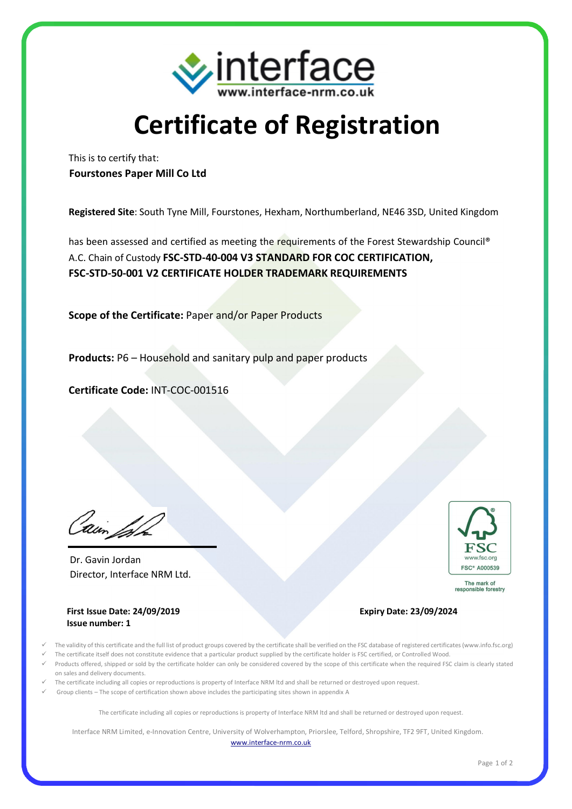

## **Certificate of Registration**

This is to certify that: **Fourstones Paper Mill Co Ltd**

**Registered Site**: South Tyne Mill, Fourstones, Hexham, Northumberland, NE46 3SD, United Kingdom

has been assessed and certified as meeting the requirements of the Forest Stewardship Council® A.C. Chain of Custody **FSC-STD-40-004 V3 STANDARD FOR COC CERTIFICATION, FSC-STD-50-001 V2 CERTIFICATE HOLDER TRADEMARK REQUIREMENTS**

**Scope of the Certificate:** Paper and/or Paper Products

**Products:** P6 – Household and sanitary pulp and paper products

**Certificate Code:** INT-COC-001516

'Min'

Director, Interface NRM Ltd. Dr. Gavin Jordan





The mark of responsible forestry

## **Expiry Date: 23/09/2024**

- ü The validity of this certificate and the full list of product groups covered by the certificate shall be verified on the FSC database of registered certificates (www.info.fsc.org)
- ü The certificate itself does not constitute evidence that a particular product supplied by the certificate holder is FSC certified, or Controlled Wood.
- ü Products offered, shipped or sold by the certificate holder can only be considered covered by the scope of this certificate when the required FSC claim is clearly stated on sales and delivery documents.
- ü The certificate including all copies or reproductions is property of Interface NRM ltd and shall be returned or destroyed upon request.
- Group clients The scope of certification shown above includes the participating sites shown in appendix A

The certificate including all copies or reproductions is property of Interface NRM ltd and shall be returned or destroyed upon request.

Interface NRM Limited, e-Innovation Centre, University of Wolverhampton, Priorslee, Telford, Shropshire, TF2 9FT, United Kingdom. www.interface-nrm.co.uk